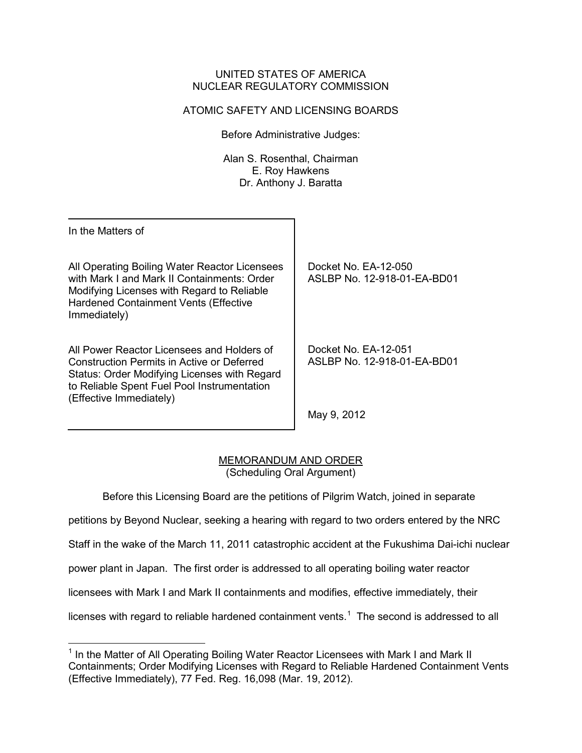#### UNITED STATES OF AMERICA NUCLEAR REGULATORY COMMISSION

# ATOMIC SAFETY AND LICENSING BOARDS

Before Administrative Judges:

Alan S. Rosenthal, Chairman E. Roy Hawkens Dr. Anthony J. Baratta

In the Matters of

 $\overline{\phantom{0}}$ 

All Operating Boiling Water Reactor Licensees with Mark I and Mark II Containments: Order Modifying Licenses with Regard to Reliable Hardened Containment Vents (Effective Immediately)

All Power Reactor Licensees and Holders of Construction Permits in Active or Deferred Status: Order Modifying Licenses with Regard to Reliable Spent Fuel Pool Instrumentation (Effective Immediately)

Docket No. EA-12-050 ASLBP No. 12-918-01-EA-BD01

Docket No. EA-12-051 ASLBP No. 12-918-01-EA-BD01

May 9, 2012

### MEMORANDUM AND ORDER (Scheduling Oral Argument)

Before this Licensing Board are the petitions of Pilgrim Watch, joined in separate

petitions by Beyond Nuclear, seeking a hearing with regard to two orders entered by the NRC

Staff in the wake of the March 11, 2011 catastrophic accident at the Fukushima Dai-ichi nuclear

power plant in Japan. The first order is addressed to all operating boiling water reactor

licensees with Mark I and Mark II containments and modifies, effective immediately, their

licenses with regard to reliable hardened containment vents.<sup>[1](#page-0-0)</sup> The second is addressed to all

<span id="page-0-0"></span><sup>&</sup>lt;sup>1</sup> In the Matter of All Operating Boiling Water Reactor Licensees with Mark I and Mark II Containments; Order Modifying Licenses with Regard to Reliable Hardened Containment Vents (Effective Immediately), 77 Fed. Reg. 16,098 (Mar. 19, 2012).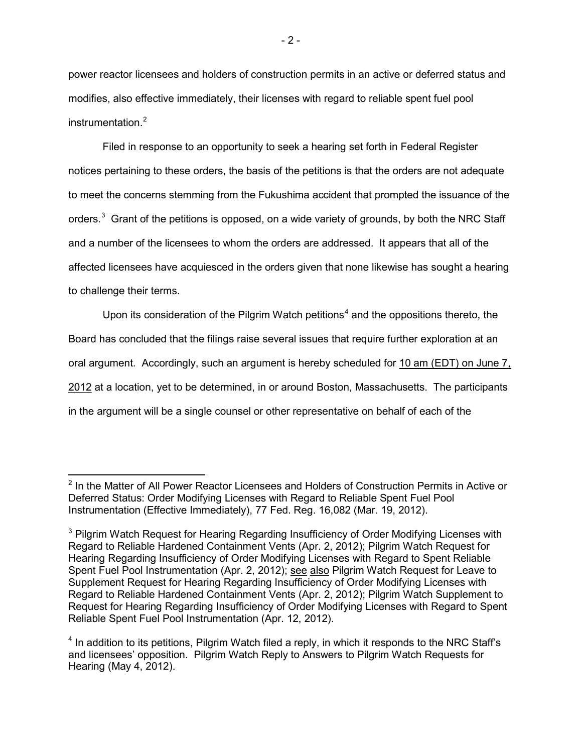power reactor licensees and holders of construction permits in an active or deferred status and modifies, also effective immediately, their licenses with regard to reliable spent fuel pool instrumentation.<sup>[2](#page-1-0)</sup>

 Filed in response to an opportunity to seek a hearing set forth in Federal Register notices pertaining to these orders, the basis of the petitions is that the orders are not adequate to meet the concerns stemming from the Fukushima accident that prompted the issuance of the orders.<sup>[3](#page-1-1)</sup> Grant of the petitions is opposed, on a wide variety of grounds, by both the NRC Staff and a number of the licensees to whom the orders are addressed. It appears that all of the affected licensees have acquiesced in the orders given that none likewise has sought a hearing to challenge their terms.

Upon its consideration of the Pilgrim Watch petitions<sup>[4](#page-1-2)</sup> and the oppositions thereto, the Board has concluded that the filings raise several issues that require further exploration at an oral argument. Accordingly, such an argument is hereby scheduled for 10 am (EDT) on June 7, 2012 at a location, yet to be determined, in or around Boston, Massachusetts. The participants in the argument will be a single counsel or other representative on behalf of each of the

ı

<span id="page-1-0"></span> $2$  In the Matter of All Power Reactor Licensees and Holders of Construction Permits in Active or Deferred Status: Order Modifying Licenses with Regard to Reliable Spent Fuel Pool Instrumentation (Effective Immediately), 77 Fed. Reg. 16,082 (Mar. 19, 2012).

<span id="page-1-1"></span><sup>&</sup>lt;sup>3</sup> Pilgrim Watch Request for Hearing Regarding Insufficiency of Order Modifying Licenses with Regard to Reliable Hardened Containment Vents (Apr. 2, 2012); Pilgrim Watch Request for Hearing Regarding Insufficiency of Order Modifying Licenses with Regard to Spent Reliable Spent Fuel Pool Instrumentation (Apr. 2, 2012); see also Pilgrim Watch Request for Leave to Supplement Request for Hearing Regarding Insufficiency of Order Modifying Licenses with Regard to Reliable Hardened Containment Vents (Apr. 2, 2012); Pilgrim Watch Supplement to Request for Hearing Regarding Insufficiency of Order Modifying Licenses with Regard to Spent Reliable Spent Fuel Pool Instrumentation (Apr. 12, 2012).

<span id="page-1-2"></span><sup>4</sup> In addition to its petitions, Pilgrim Watch filed a reply, in which it responds to the NRC Staff's and licensees' opposition. Pilgrim Watch Reply to Answers to Pilgrim Watch Requests for Hearing (May 4, 2012).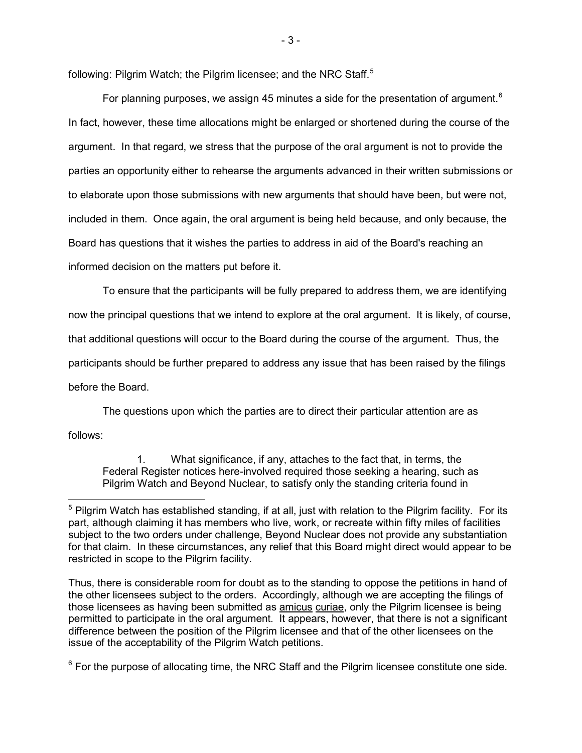following: Pilgrim Watch; the Pilgrim licensee; and the NRC Staff.<sup>[5](#page-2-0)</sup>

For planning purposes, we assign 45 minutes a side for the presentation of argument.<sup>[6](#page-2-1)</sup> In fact, however, these time allocations might be enlarged or shortened during the course of the argument. In that regard, we stress that the purpose of the oral argument is not to provide the parties an opportunity either to rehearse the arguments advanced in their written submissions or to elaborate upon those submissions with new arguments that should have been, but were not, included in them. Once again, the oral argument is being held because, and only because, the Board has questions that it wishes the parties to address in aid of the Board's reaching an informed decision on the matters put before it.

To ensure that the participants will be fully prepared to address them, we are identifying now the principal questions that we intend to explore at the oral argument. It is likely, of course, that additional questions will occur to the Board during the course of the argument. Thus, the participants should be further prepared to address any issue that has been raised by the filings before the Board.

The questions upon which the parties are to direct their particular attention are as follows:

ı

1. What significance, if any, attaches to the fact that, in terms, the Federal Register notices here-involved required those seeking a hearing, such as Pilgrim Watch and Beyond Nuclear, to satisfy only the standing criteria found in

<span id="page-2-1"></span> $6$  For the purpose of allocating time, the NRC Staff and the Pilgrim licensee constitute one side.

<span id="page-2-0"></span> $5$  Pilgrim Watch has established standing, if at all, just with relation to the Pilgrim facility. For its part, although claiming it has members who live, work, or recreate within fifty miles of facilities subject to the two orders under challenge, Beyond Nuclear does not provide any substantiation for that claim. In these circumstances, any relief that this Board might direct would appear to be restricted in scope to the Pilgrim facility.

Thus, there is considerable room for doubt as to the standing to oppose the petitions in hand of the other licensees subject to the orders. Accordingly, although we are accepting the filings of those licensees as having been submitted as **amicus** curiae, only the Pilgrim licensee is being permitted to participate in the oral argument. It appears, however, that there is not a significant difference between the position of the Pilgrim licensee and that of the other licensees on the issue of the acceptability of the Pilgrim Watch petitions.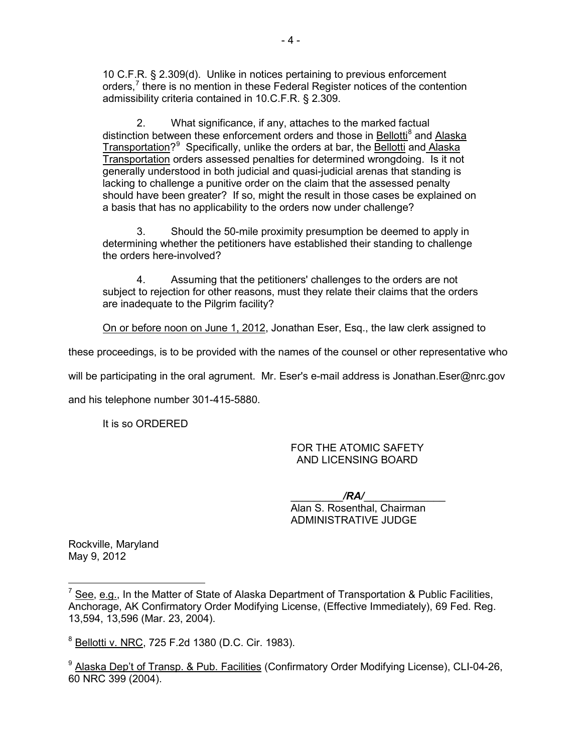10 C.F.R. § 2.309(d). Unlike in notices pertaining to previous enforcement orders,<sup>[7](#page-3-0)</sup> there is no mention in these Federal Register notices of the contention admissibility criteria contained in 10.C.F.R. § 2.309.

2. What significance, if any, attaches to the marked factual distinction between these enforcement orders and those in Bellotti<sup>[8](#page-3-1)</sup> and Alaska Transportation?<sup>[9](#page-3-2)</sup> Specifically, unlike the orders at bar, the **Bellotti** and Alaska Transportation orders assessed penalties for determined wrongdoing. Is it not generally understood in both judicial and quasi-judicial arenas that standing is lacking to challenge a punitive order on the claim that the assessed penalty should have been greater? If so, might the result in those cases be explained on a basis that has no applicability to the orders now under challenge?

3. Should the 50-mile proximity presumption be deemed to apply in determining whether the petitioners have established their standing to challenge the orders here-involved?

4. Assuming that the petitioners' challenges to the orders are not subject to rejection for other reasons, must they relate their claims that the orders are inadequate to the Pilgrim facility?

On or before noon on June 1, 2012, Jonathan Eser, Esq., the law clerk assigned to

these proceedings, is to be provided with the names of the counsel or other representative who

will be participating in the oral agrument. Mr. Eser's e-mail address is Jonathan.Eser@nrc.gov

and his telephone number 301-415-5880.

It is so ORDERED

FOR THE ATOMIC SAFETY AND LICENSING BOARD

\_\_\_\_\_\_\_\_\_*/RA/*\_\_\_\_\_\_\_\_\_\_\_\_\_\_ Alan S. Rosenthal, Chairman ADMINISTRATIVE JUDGE

Rockville, Maryland May 9, 2012

l

<span id="page-3-0"></span> $^7$  See, e.g., In the Matter of State of Alaska Department of Transportation & Public Facilities, Anchorage, AK Confirmatory Order Modifying License, (Effective Immediately), 69 Fed. Reg. 13,594, 13,596 (Mar. 23, 2004).

<span id="page-3-1"></span><sup>8</sup> Bellotti v. NRC, 725 F.2d 1380 (D.C. Cir. 1983).

<span id="page-3-2"></span><sup>&</sup>lt;sup>9</sup> Alaska Dep't of Transp. & Pub. Facilities (Confirmatory Order Modifying License), CLI-04-26, 60 NRC 399 (2004).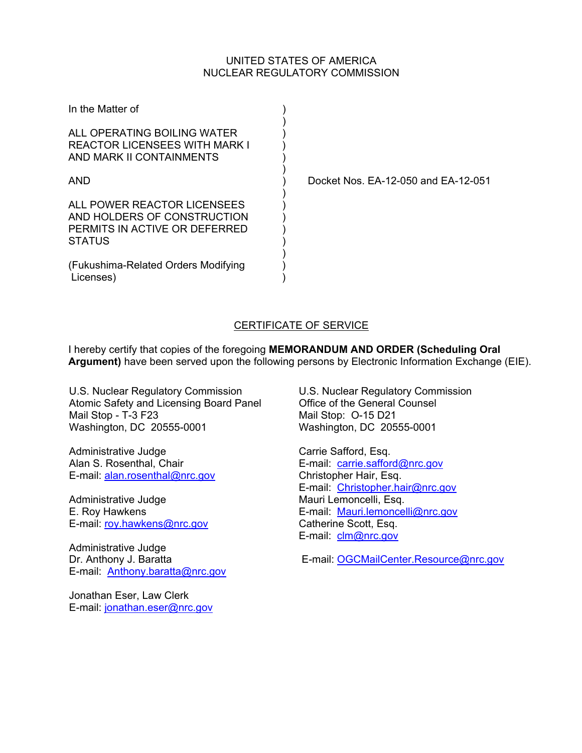# UNITED STATES OF AMERICA NUCLEAR REGULATORY COMMISSION

| In the Matter of                                                                                      |  |
|-------------------------------------------------------------------------------------------------------|--|
| ALL OPERATING BOILING WATER<br><b>REACTOR LICENSEES WITH MARK I</b><br>AND MARK II CONTAINMENTS       |  |
| AND                                                                                                   |  |
| ALL POWER REACTOR LICENSEES<br>AND HOLDERS OF CONSTRUCTION<br>PERMITS IN ACTIVE OR DEFERRED<br>STATUS |  |
| (Fukushima-Related Orders Modifying<br>Licenses)                                                      |  |

Docket Nos. EA-12-050 and EA-12-051

# CERTIFICATE OF SERVICE

I hereby certify that copies of the foregoing **MEMORANDUM AND ORDER (Scheduling Oral Argument)** have been served upon the following persons by Electronic Information Exchange (EIE).

U.S. Nuclear Regulatory Commission Atomic Safety and Licensing Board Panel Mail Stop - T-3 F23 Washington, DC 20555-0001

Administrative Judge Alan S. Rosenthal, Chair E-mail: alan.rosenthal@nrc.gov

Administrative Judge E. Roy Hawkens E-mail: roy.hawkens@nrc.gov

Administrative Judge Dr. Anthony J. Baratta E-mail: Anthony.baratta@nrc.gov

Jonathan Eser, Law Clerk E-mail: jonathan.eser@nrc.gov U.S. Nuclear Regulatory Commission Office of the General Counsel Mail Stop: O-15 D21 Washington, DC 20555-0001

Carrie Safford, Esq. E-mail: carrie.safford@nrc.gov Christopher Hair, Esq. E-mail: Christopher.hair@nrc.gov Mauri Lemoncelli, Esq. E-mail: Mauri.lemoncelli@nrc.gov Catherine Scott, Esq. E-mail: clm@nrc.gov

E-mail: OGCMailCenter.Resource@nrc.gov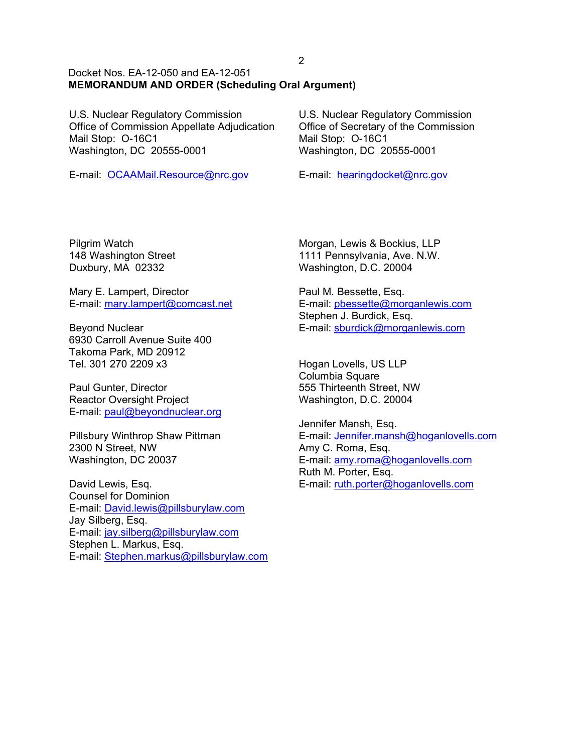### Docket Nos. EA-12-050 and EA-12-051 **MEMORANDUM AND ORDER (Scheduling Oral Argument)**

U.S. Nuclear Regulatory Commission Office of Commission Appellate Adjudication Mail Stop: O-16C1 Washington, DC 20555-0001

E-mail: OCAAMail.Resource@nrc.gov

U.S. Nuclear Regulatory Commission Office of Secretary of the Commission Mail Stop: O-16C1 Washington, DC 20555-0001

E-mail: hearingdocket@nrc.gov

Pilgrim Watch 148 Washington Street Duxbury, MA 02332

Mary E. Lampert, Director E-mail: mary.lampert@comcast.net

Beyond Nuclear 6930 Carroll Avenue Suite 400 Takoma Park, MD 20912 Tel. 301 270 2209 x3

Paul Gunter, Director Reactor Oversight Project E-mail: paul@beyondnuclear.org

Pillsbury Winthrop Shaw Pittman 2300 N Street, NW Washington, DC 20037

David Lewis, Esq. Counsel for Dominion E-mail: David.lewis@pillsburylaw.com Jay Silberg, Esq. E-mail: jay.silberg@pillsburylaw.com Stephen L. Markus, Esq. E-mail: Stephen.markus@pillsburylaw.com Morgan, Lewis & Bockius, LLP 1111 Pennsylvania, Ave. N.W. Washington, D.C. 20004

Paul M. Bessette, Esq. E-mail: pbessette@morganlewis.com Stephen J. Burdick, Esq. E-mail: sburdick@morganlewis.com

Hogan Lovells, US LLP Columbia Square 555 Thirteenth Street, NW Washington, D.C. 20004

Jennifer Mansh, Esq. E-mail: Jennifer.mansh@hoganlovells.com Amy C. Roma, Esq. E-mail: amy.roma@hoganlovells.com Ruth M. Porter, Esq. E-mail: ruth.porter@hoganlovells.com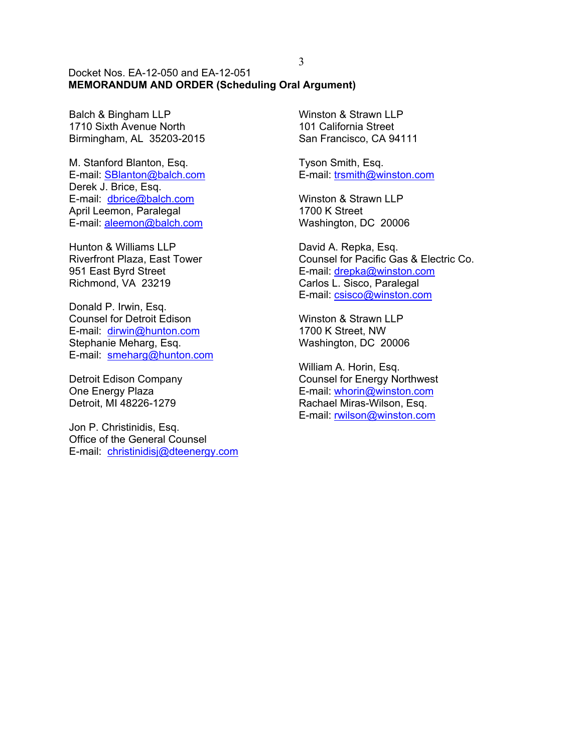#### Docket Nos. EA-12-050 and EA-12-051 **MEMORANDUM AND ORDER (Scheduling Oral Argument)**

Balch & Bingham LLP 1710 Sixth Avenue North Birmingham, AL 35203-2015

M. Stanford Blanton, Esq. E-mail: SBlanton@balch.com Derek J. Brice, Esq. E-mail: dbrice@balch.com April Leemon, Paralegal E-mail: aleemon@balch.com

Hunton & Williams LLP Riverfront Plaza, East Tower 951 East Byrd Street Richmond, VA 23219

Donald P. Irwin, Esq. Counsel for Detroit Edison E-mail: dirwin@hunton.com Stephanie Meharg, Esq. E-mail: smeharg@hunton.com

Detroit Edison Company One Energy Plaza Detroit, MI 48226-1279

Jon P. Christinidis, Esq. Office of the General Counsel E-mail: christinidisj@dteenergy.com Winston & Strawn LLP 101 California Street San Francisco, CA 94111

Tyson Smith, Esq. E-mail: trsmith@winston.com

Winston & Strawn LLP 1700 K Street Washington, DC 20006

David A. Repka, Esq. Counsel for Pacific Gas & Electric Co. E-mail: drepka@winston.com Carlos L. Sisco, Paralegal E-mail: csisco@winston.com

Winston & Strawn LLP 1700 K Street, NW Washington, DC 20006

William A. Horin, Esq. Counsel for Energy Northwest E-mail: whorin@winston.com Rachael Miras-Wilson, Esq. E-mail: rwilson@winston.com